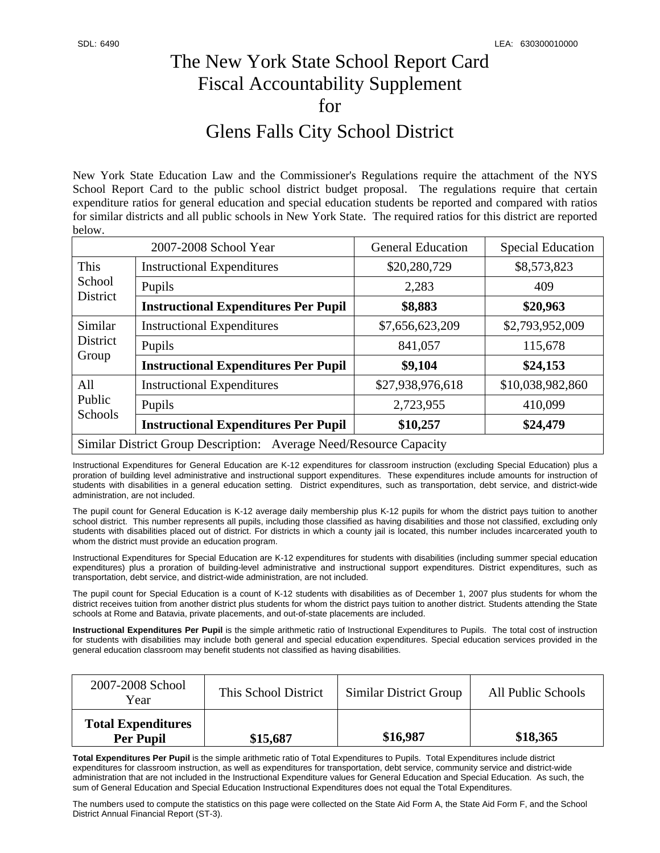## The New York State School Report Card Fiscal Accountability Supplement for Glens Falls City School District

New York State Education Law and the Commissioner's Regulations require the attachment of the NYS School Report Card to the public school district budget proposal. The regulations require that certain expenditure ratios for general education and special education students be reported and compared with ratios for similar districts and all public schools in New York State. The required ratios for this district are reported below.

| 2007-2008 School Year                                              |                                             | <b>General Education</b> | <b>Special Education</b> |  |
|--------------------------------------------------------------------|---------------------------------------------|--------------------------|--------------------------|--|
| This<br>School<br>District                                         | <b>Instructional Expenditures</b>           | \$20,280,729             | \$8,573,823              |  |
|                                                                    | Pupils                                      | 2,283                    | 409                      |  |
|                                                                    | <b>Instructional Expenditures Per Pupil</b> | \$8,883                  | \$20,963                 |  |
| Similar<br>District                                                | <b>Instructional Expenditures</b>           | \$7,656,623,209          | \$2,793,952,009          |  |
|                                                                    | Pupils                                      | 841,057                  | 115,678                  |  |
| Group                                                              | <b>Instructional Expenditures Per Pupil</b> | \$9,104                  | \$24,153                 |  |
| All                                                                | <b>Instructional Expenditures</b>           | \$27,938,976,618         | \$10,038,982,860         |  |
| Public<br>Schools                                                  | Pupils                                      | 2,723,955                | 410,099                  |  |
|                                                                    | <b>Instructional Expenditures Per Pupil</b> | \$10,257                 | \$24,479                 |  |
| Similar District Group Description: Average Need/Resource Capacity |                                             |                          |                          |  |

Instructional Expenditures for General Education are K-12 expenditures for classroom instruction (excluding Special Education) plus a proration of building level administrative and instructional support expenditures. These expenditures include amounts for instruction of students with disabilities in a general education setting. District expenditures, such as transportation, debt service, and district-wide administration, are not included.

The pupil count for General Education is K-12 average daily membership plus K-12 pupils for whom the district pays tuition to another school district. This number represents all pupils, including those classified as having disabilities and those not classified, excluding only students with disabilities placed out of district. For districts in which a county jail is located, this number includes incarcerated youth to whom the district must provide an education program.

Instructional Expenditures for Special Education are K-12 expenditures for students with disabilities (including summer special education expenditures) plus a proration of building-level administrative and instructional support expenditures. District expenditures, such as transportation, debt service, and district-wide administration, are not included.

The pupil count for Special Education is a count of K-12 students with disabilities as of December 1, 2007 plus students for whom the district receives tuition from another district plus students for whom the district pays tuition to another district. Students attending the State schools at Rome and Batavia, private placements, and out-of-state placements are included.

**Instructional Expenditures Per Pupil** is the simple arithmetic ratio of Instructional Expenditures to Pupils. The total cost of instruction for students with disabilities may include both general and special education expenditures. Special education services provided in the general education classroom may benefit students not classified as having disabilities.

| 2007-2008 School<br>Year                      | This School District | Similar District Group | All Public Schools |
|-----------------------------------------------|----------------------|------------------------|--------------------|
| <b>Total Expenditures</b><br><b>Per Pupil</b> | \$15,687             | \$16,987               | \$18,365           |

**Total Expenditures Per Pupil** is the simple arithmetic ratio of Total Expenditures to Pupils. Total Expenditures include district expenditures for classroom instruction, as well as expenditures for transportation, debt service, community service and district-wide administration that are not included in the Instructional Expenditure values for General Education and Special Education. As such, the sum of General Education and Special Education Instructional Expenditures does not equal the Total Expenditures.

The numbers used to compute the statistics on this page were collected on the State Aid Form A, the State Aid Form F, and the School District Annual Financial Report (ST-3).